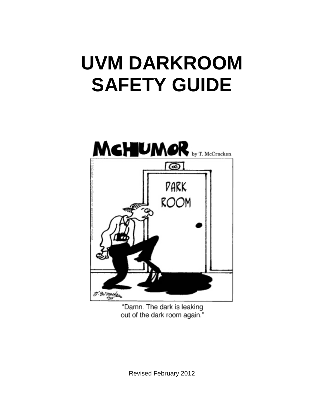# **UVM DARKROOM SAFETY GUIDE**



"Damn. The dark is leaking out of the dark room again."

Revised February 2012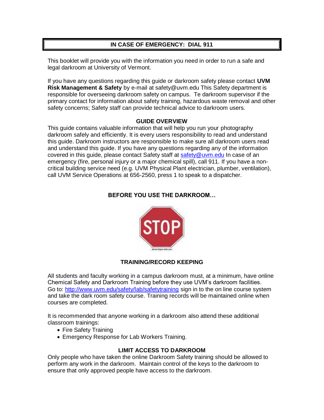## **IN CASE OF EMERGENCY: DIAL 911**

This booklet will provide you with the information you need in order to run a safe and legal darkroom at University of Vermont.

If you have any questions regarding this guide or darkroom safety please contact **UVM Risk Management & Safety** by e-mail at safety@uvm.edu This Safety department is responsible for overseeing darkroom safety on campus. Te darkroom supervisor if the primary contact for information about safety training, hazardous waste removal and other safety concerns; Safety staff can provide technical advice to darkroom users.

#### **GUIDE OVERVIEW**

This guide contains valuable information that will help you run your photography darkroom safely and efficiently. It is every users responsibility to read and understand this guide. Darkroom instructors are responsible to make sure all darkroom users read and understand this guide. If you have any questions regarding any of the information covered in this guide, please contact Safety staff at [safety@uvm.edu](mailto:safety@uvm.edu) In case of an emergency (fire, personal injury or a major chemical spill), call 911. If you have a noncritical building service need (e.g. UVM Physical Plant electrician, plumber, ventilation), call UVM Service Operations at 656-2560, press 1 to speak to a dispatcher.

## **BEFORE YOU USE THE DARKROOM…**



## **TRAINING/RECORD KEEPING**

All students and faculty working in a campus darkroom must, at a minimum, have online Chemical Safety and Darkroom Training before they use UVM's darkroom facilities. Go to:<http://www.uvm.edu/safety/lab/safetytraining> sign in to the on line course system and take the dark room safety course. Training records will be maintained online when courses are completed.

It is recommended that anyone working in a darkroom also attend these additional classroom trainings:

- Fire Safety Training
- Emergency Response for Lab Workers Training.

#### **LIMIT ACCESS TO DARKROOM**

Only people who have taken the online Darkroom Safety training should be allowed to perform any work in the darkroom. Maintain control of the keys to the darkroom to ensure that only approved people have access to the darkroom.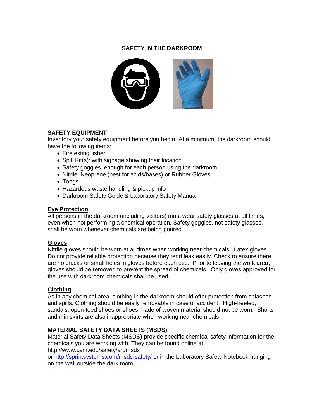## **SAFETY IN THE DARKROOM**



## **SAFETY EQUIPMENT**

Inventory your safety equipment before you begin. At a minimum, the darkroom should have the following items:

- Fire extinguisher
- Spill Kit(s): with signage showing their location
- Safety goggles, enough for each person using the darkroom
- Nitrile, Neoprene (best for acids/bases) or Rubber Gloves
- Tongs
- Hazardous waste handling & pickup info
- Darkroom Safety Guide & Laboratory Safety Manual

#### **Eye Protection**

All persons in the darkroom (including visitors) must wear safety glasses at all times, even when not performing a chemical operation. Safety goggles, not safety glasses, shall be worn whenever chemicals are being poured.

#### **Gloves**

Nitrile gloves should be worn at all times when working near chemicals. Latex gloves Do not provide reliable protection because they tend leak easily. Check to ensure there are no cracks or small holes in gloves before each use. Prior to leaving the work area, gloves should be removed to prevent the spread of chemicals. Only gloves approved for the use with darkroom chemicals shall be used.

## **Clothing**

As in any chemical area, clothing in the darkroom should offer protection from splashes and spills. Clothing should be easily removable in case of accident. High-heeled, sandals, open-toed shoes or shoes made of woven material should not be worn. Shorts and miniskirts are also inappropriate when working near chemicals.

## **MATERIAL SAFETY DATA SHEETS (MSDS)**

Material Safety Data Sheets (MSDS) provide specific chemical safety information for the chemicals you are working with. They can be found online at: http://www.uvm.edu/safety/art/msds

or<http://sprintsystems.com/msds-safety/> or in the Laboratory Safety Notebook hanging on the wall outside the dark room.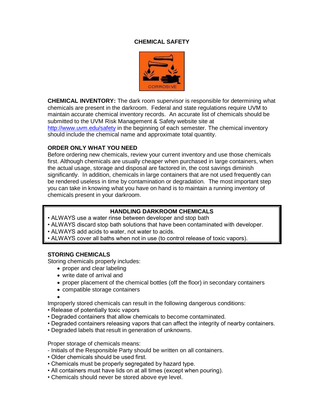## **CHEMICAL SAFETY**



**CHEMICAL INVENTORY:** The dark room supervisor is responsible for determining what chemicals are present in the darkroom. Federal and state regulations require UVM to maintain accurate chemical inventory records. An accurate list of chemicals should be submitted to the UVM Risk Management & Safety website site at

<http://www.uvm.edu/safety> in the beginning of each semester. The chemical inventory should include the chemical name and approximate total quantity.

#### **ORDER ONLY WHAT YOU NEED**

Before ordering new chemicals, review your current inventory and use those chemicals first. Although chemicals are usually cheaper when purchased in large containers, when the actual usage, storage and disposal are factored in, the cost savings diminish significantly. In addition, chemicals in large containers that are not used frequently can be rendered useless in time by contamination or degradation. The most important step you can take in knowing what you have on hand is to maintain a running inventory of chemicals present in your darkroom.

## **HANDLING DARKROOM CHEMICALS**

- ALWAYS use a water rinse between developer and stop bath
- ALWAYS discard stop bath solutions that have been contaminated with developer.
- ALWAYS add acids to water, not water to acids.
- ALWAYS cover all baths when not in use (to control release of toxic vapors).

## **STORING CHEMICALS**

Storing chemicals properly includes:

- proper and clear labeling
- write date of arrival and
- proper placement of the chemical bottles (off the floor) in secondary containers
- compatible storage containers
- 

•

Improperly stored chemicals can result in the following dangerous conditions:

- Release of potentially toxic vapors
- Degraded containers that allow chemicals to become contaminated.
- Degraded containers releasing vapors that can affect the integrity of nearby containers.
- Degraded labels that result in generation of unknowns.

Proper storage of chemicals means:

- Initials of the Responsible Party should be written on all containers.
- Older chemicals should be used first.
- Chemicals must be properly segregated by hazard type.
- All containers must have lids on at all times (except when pouring).
- Chemicals should never be stored above eye level.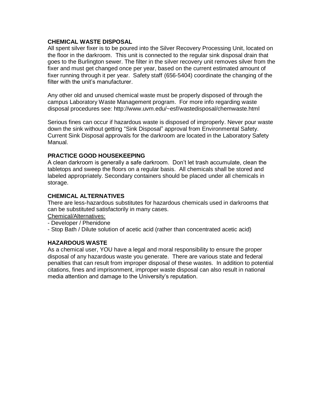### **CHEMICAL WASTE DISPOSAL**

All spent silver fixer is to be poured into the Silver Recovery Processing Unit, located on the floor in the darkroom. This unit is connected to the regular sink disposal drain that goes to the Burlington sewer. The filter in the silver recovery unit removes silver from the fixer and must get changed once per year, based on the current estimated amount of fixer running through it per year. Safety staff (656-5404) coordinate the changing of the filter with the unit's manufacturer.

Any other old and unused chemical waste must be properly disposed of through the campus Laboratory Waste Management program. For more info regarding waste disposal procedures see: http://www.uvm.edu/~esf/wastedisposal/chemwaste.html

Serious fines can occur if hazardous waste is disposed of improperly. Never pour waste down the sink without getting "Sink Disposal" approval from Environmental Safety. Current Sink Disposal approvals for the darkroom are located in the Laboratory Safety Manual.

#### **PRACTICE GOOD HOUSEKEEPING**

A clean darkroom is generally a safe darkroom. Don't let trash accumulate, clean the tabletops and sweep the floors on a regular basis. All chemicals shall be stored and labeled appropriately. Secondary containers should be placed under all chemicals in storage.

### **CHEMICAL ALTERNATIVES**

There are less-hazardous substitutes for hazardous chemicals used in darkrooms that can be substituted satisfactorily in many cases.

Chemical/Alternatives:

- Developer / Phenidone
- Stop Bath / Dilute solution of acetic acid (rather than concentrated acetic acid)

## **HAZARDOUS WASTE**

As a chemical user, YOU have a legal and moral responsibility to ensure the proper disposal of any hazardous waste you generate. There are various state and federal penalties that can result from improper disposal of these wastes. In addition to potential citations, fines and imprisonment, improper waste disposal can also result in national media attention and damage to the University's reputation.